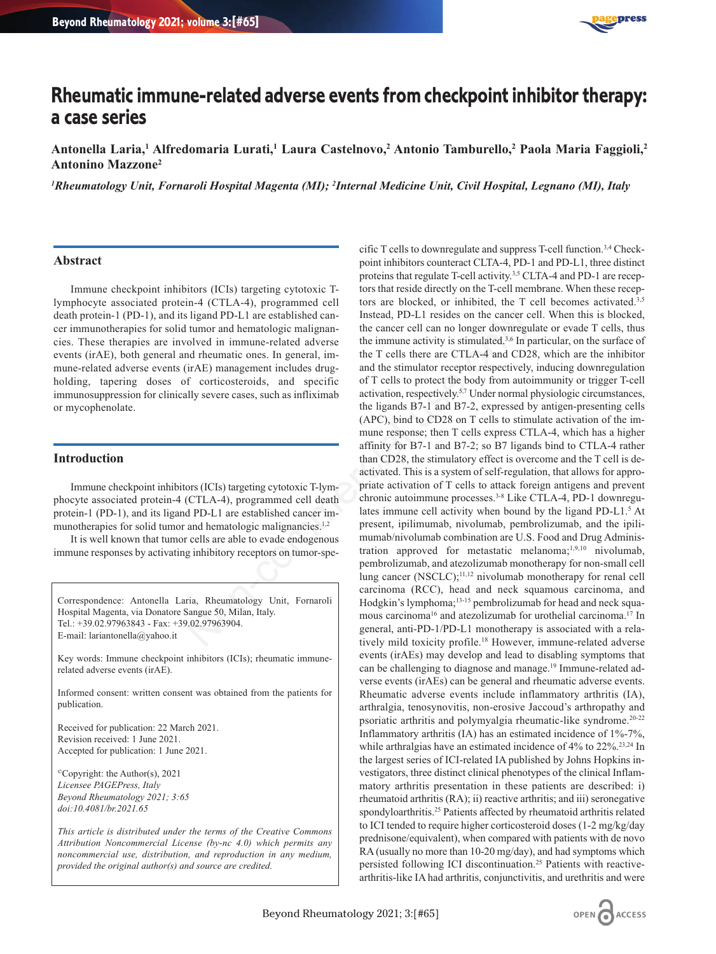

# **Rheumatic immune-related adverse events from checkpoint inhibitor therapy: a case series**

**Antonella Laria,1 Alfredomaria Lurati,1 Laura Castelnovo,2 Antonio Tamburello,2 Paola Maria Faggioli,2 Antonino Mazzone2**

*1 Rheumatology Unit, Fornaroli Hospital Magenta (MI); 2 Internal Medicine Unit, Civil Hospital, Legnano (MI), Italy*

#### **Abstract**

Immune checkpoint inhibitors (ICIs) targeting cytotoxic Tlymphocyte associated protein-4 (CTLA-4), programmed cell death protein-1 (PD-1), and its ligand PD-L1 are established cancer immunotherapies for solid tumor and hematologic malignancies. These therapies are involved in immune-related adverse events (irAE), both general and rheumatic ones. In general, immune-related adverse events (irAE) management includes drugholding, tapering doses of corticosteroids, and specific immunosuppression for clinically severe cases, such as infliximab or mycophenolate.

#### **Introduction**

Immune checkpoint inhibitors (ICIs) targeting cytotoxic T-lymphocyte associated protein-4 (CTLA-4), programmed cell death protein-1 (PD-1), and its ligand PD-L1 are established cancer immunotherapies for solid tumor and hematologic malignancies.<sup>1,2</sup>

It is well known that tumor cells are able to evade endogenous immune responses by activating inhibitory receptors on tumor-spe-

Correspondence: Antonella Laria, Rheumatology Unit, Fornaroli Hospital Magenta, via Donatore Sangue 50, Milan, Italy. Tel.: +39.02.97963843 - Fax: +39.02.97963904. E-mail: lariantonella@yahoo.it

Key words: Immune checkpoint inhibitors (ICIs); rheumatic immunerelated adverse events (irAE).

Informed consent: written consent was obtained from the patients for publication.

Received for publication: 22 March 2021. Revision received: 1 June 2021. Accepted for publication: 1 June 2021.

©Copyright: the Author(s), 2021 *Licensee PAGEPress, Italy Beyond Rheumatology 2021; 3:65 doi:10.4081/br.2021.65*

*This article is distributed under the terms of the Creative Commons Attribution Noncommercial License (by-nc 4.0) which permits any noncommercial use, distribution, and reproduction in any medium, provided the original author(s) and source are credited.*

cific T cells to downregulate and suppress T-cell function.3,4 Checkpoint inhibitors counteract CLTA-4, PD-1 and PD-L1, three distinct proteins that regulate T-cell activity.<sup>3,5</sup> CLTA-4 and PD-1 are receptors that reside directly on the T-cell membrane. When these receptors are blocked, or inhibited, the T cell becomes activated.<sup>3,5</sup> Instead, PD-L1 resides on the cancer cell. When this is blocked, the cancer cell can no longer downregulate or evade T cells, thus the immune activity is stimulated. $3,6$  In particular, on the surface of the T cells there are CTLA-4 and CD28, which are the inhibitor and the stimulator receptor respectively, inducing downregulation of T cells to protect the body from autoimmunity or trigger T-cell activation, respectively.5,7 Under normal physiologic circumstances, the ligands B7-1 and B7-2, expressed by antigen-presenting cells (APC), bind to CD28 on T cells to stimulate activation of the immune response; then T cells express CTLA-4, which has a higher affinity for B7-1 and B7-2; so B7 ligands bind to CTLA-4 rather than CD28, the stimulatory effect is overcome and the T cell is deactivated. This is a system of self-regulation, that allows for appropriate activation of T cells to attack foreign antigens and prevent chronic autoimmune processes.<sup>3-8</sup> Like CTLA-4, PD-1 downregulates immune cell activity when bound by the ligand PD-L1.<sup>5</sup> At present, ipilimumab, nivolumab, pembrolizumab, and the ipilimumab/nivolumab combination are U.S. Food and Drug Administration approved for metastatic melanoma;<sup>1,9,10</sup> nivolumab, pembrolizumab, and atezolizumab monotherapy for non-small cell lung cancer (NSCLC);<sup>11,12</sup> nivolumab monotherapy for renal cell carcinoma (RCC), head and neck squamous carcinoma, and Hodgkin's lymphoma;<sup>13-15</sup> pembrolizumab for head and neck squamous carcinoma16 and atezolizumab for urothelial carcinoma.17 In general, anti-PD-1/PD-L1 monotherapy is associated with a relatively mild toxicity profile.18 However, immune-related adverse events (irAEs) may develop and lead to disabling symptoms that can be challenging to diagnose and manage.19 Immune-related adverse events (irAEs) can be general and rheumatic adverse events. Rheumatic adverse events include inflammatory arthritis (IA), arthralgia, tenosynovitis, non-erosive Jaccoud's arthropathy and psoriatic arthritis and polymyalgia rheumatic-like syndrome.20-22 Inflammatory arthritis (IA) has an estimated incidence of 1%-7%, while arthralgias have an estimated incidence of  $4\%$  to  $22\%$ .<sup>23,24</sup> In the largest series of ICI-related IA published by Johns Hopkins investigators, three distinct clinical phenotypes of the clinical Inflammatory arthritis presentation in these patients are described: i) rheumatoid arthritis (RA); ii) reactive arthritis; and iii) seronegative spondyloarthritis.<sup>25</sup> Patients affected by rheumatoid arthritis related to ICI tended to require higher corticosteroid doses (1-2 mg/kg/day prednisone/equivalent), when compared with patients with de novo RA (usually no more than 10-20 mg/day), and had symptoms which persisted following ICI discontinuation.25 Patients with reactivearthritis-like IA had arthritis, conjunctivitis, and urethritis and were i ligand PD-L1 are established can-<br>
untor and hematologic malignam-<br>
the cancer cel can no longer downregulal<br>
untor and mematologic malignam-<br>
the Tech stemme activity is stimulated,<sup>3,6</sup> In particle of relation the<br>
di

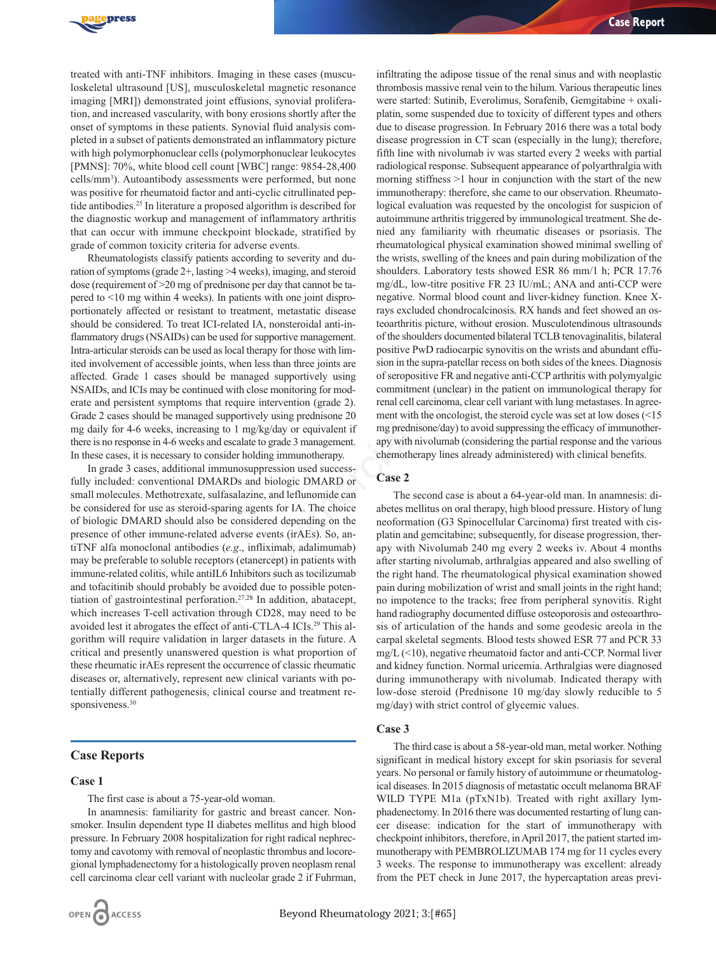

treated with anti-TNF inhibitors. Imaging in these cases (musculoskeletal ultrasound [US], musculoskeletal magnetic resonance imaging [MRI]) demonstrated joint effusions, synovial proliferation, and increased vascularity, with bony erosions shortly after the onset of symptoms in these patients. Synovial fluid analysis completed in a subset of patients demonstrated an inflammatory picture with high polymorphonuclear cells (polymorphonuclear leukocytes [PMNS]: 70%, white blood cell count [WBC] range: 9854-28,400 cells/mm<sup>3</sup>). Autoantibody assessments were performed, but none was positive for rheumatoid factor and anti-cyclic citrullinated peptide antibodies.25 In literature a proposed algorithm is described for the diagnostic workup and management of inflammatory arthritis that can occur with immune checkpoint blockade, stratified by grade of common toxicity criteria for adverse events.

Rheumatologists classify patients according to severity and duration of symptoms (grade 2+, lasting >4 weeks), imaging, and steroid dose (requirement of >20 mg of prednisone per day that cannot be tapered to <10 mg within 4 weeks). In patients with one joint disproportionately affected or resistant to treatment, metastatic disease should be considered. To treat ICI-related IA, nonsteroidal anti-inflammatory drugs (NSAIDs) can be used for supportive management. Intra-articular steroids can be used as local therapy for those with limited involvement of accessible joints, when less than three joints are affected. Grade 1 cases should be managed supportively using NSAIDs, and ICIs may be continued with close monitoring for moderate and persistent symptoms that require intervention (grade 2). Grade 2 cases should be managed supportively using prednisone 20 mg daily for 4-6 weeks, increasing to 1 mg/kg/day or equivalent if there is no response in 4-6 weeks and escalate to grade 3 management. In these cases, it is necessary to consider holding immunotherapy.

In grade 3 cases, additional immunosuppression used successfully included: conventional DMARDs and biologic DMARD or small molecules. Methotrexate, sulfasalazine, and leflunomide can be considered for use as steroid-sparing agents for IA. The choice of biologic DMARD should also be considered depending on the presence of other immune-related adverse events (irAEs). So, antiTNF alfa monoclonal antibodies (*e.g*., infliximab, adalimumab) may be preferable to soluble receptors (etanercept) in patients with immune-related colitis, while antiIL6 Inhibitors such as tocilizumab and tofacitinib should probably be avoided due to possible potentiation of gastrointestinal perforation.27,28 In addition, abatacept, which increases T-cell activation through CD28, may need to be avoided lest it abrogates the effect of anti-CTLA-4 ICIs.29 This algorithm will require validation in larger datasets in the future. A critical and presently unanswered question is what proportion of these rheumatic irAEs represent the occurrence of classic rheumatic diseases or, alternatively, represent new clinical variants with potentially different pathogenesis, clinical course and treatment responsiveness.<sup>30</sup> sixtant to treatment, metastate cases easy excruded cononoroals RA in the should be controlled and in-<br>teat ICI-related IA, nonsteroidal anti-in-<br>teatrifitis picture, without errosion. None was local therapy for those wit

#### **Case Reports**

#### **Case 1**

The first case is about a 75-year-old woman.

In anamnesis: familiarity for gastric and breast cancer. Nonsmoker. Insulin dependent type II diabetes mellitus and high blood pressure. In February 2008 hospitalization for right radical nephrectomy and cavotomy with removal of neoplastic thrombus and locoregional lymphadenectomy for a histologically proven neoplasm renal cell carcinoma clear cell variant with nucleolar grade 2 if Fuhrman,

infiltrating the adipose tissue of the renal sinus and with neoplastic thrombosis massive renal vein to the hilum. Various therapeutic lines were started: Sutinib, Everolimus, Sorafenib, Gemgitabine + oxaliplatin, some suspended due to toxicity of different types and others due to disease progression. In February 2016 there was a total body disease progression in CT scan (especially in the lung); therefore, fifth line with nivolumab iv was started every 2 weeks with partial radiological response. Subsequent appearance of polyarthralgia with morning stiffness  $>1$  hour in conjunction with the start of the new immunotherapy: therefore, she came to our observation. Rheumatological evaluation was requested by the oncologist for suspicion of autoimmune arthritis triggered by immunological treatment. She denied any familiarity with rheumatic diseases or psoriasis. The rheumatological physical examination showed minimal swelling of the wrists, swelling of the knees and pain during mobilization of the shoulders. Laboratory tests showed ESR 86 mm/1 h; PCR 17.76 mg/dL, low-titre positive FR 23 IU/mL; ANA and anti-CCP were negative. Normal blood count and liver-kidney function. Knee Xrays excluded chondrocalcinosis. RX hands and feet showed an osteoarthritis picture, without erosion. Musculotendinous ultrasounds of the shoulders documented bilateral TCLB tenovaginalitis, bilateral positive PwD radiocarpic synovitis on the wrists and abundant effusion in the supra-patellar recess on both sides of the knees. Diagnosis of seropositive FR and negative anti-CCP arthritis with polymyalgic commitment (unclear) in the patient on immunological therapy for renal cell carcinoma, clear cell variant with lung metastases. In agreement with the oncologist, the steroid cycle was set at low doses (<15 mg prednisone/day) to avoid suppressing the efficacy of immunotherapy with nivolumab (considering the partial response and the various chemotherapy lines already administered) with clinical benefits.

### **Case 2**

The second case is about a 64-year-old man. In anamnesis: diabetes mellitus on oral therapy, high blood pressure. History of lung neoformation (G3 Spinocellular Carcinoma) first treated with cisplatin and gemcitabine; subsequently, for disease progression, therapy with Nivolumab 240 mg every 2 weeks iv. About 4 months after starting nivolumab, arthralgias appeared and also swelling of the right hand. The rheumatological physical examination showed pain during mobilization of wrist and small joints in the right hand; no impotence to the tracks; free from peripheral synovitis. Right hand radiography documented diffuse osteoporosis and osteoarthrosis of articulation of the hands and some geodesic areola in the carpal skeletal segments. Blood tests showed ESR 77 and PCR 33  $mg/L$  ( $\leq$ 10), negative rheumatoid factor and anti-CCP. Normal liver and kidney function. Normal uricemia. Arthralgias were diagnosed during immunotherapy with nivolumab. Indicated therapy with low-dose steroid (Prednisone 10 mg/day slowly reducible to 5 mg/day) with strict control of glycemic values.

#### **Case 3**

The third case is about a 58-year-old man, metal worker. Nothing significant in medical history except for skin psoriasis for several years. No personal or family history of autoimmune or rheumatological diseases. In 2015 diagnosis of metastatic occult melanoma BRAF WILD TYPE M1a (pTxN1b). Treated with right axillary lymphadenectomy. In 2016 there was documented restarting of lung cancer disease: indication for the start of immunotherapy with checkpoint inhibitors, therefore, in April 2017, the patient started immunotherapy with PEMBROLIZUMAB 174 mg for 11 cycles every 3 weeks. The response to immunotherapy was excellent: already from the PET check in June 2017, the hypercaptation areas previ-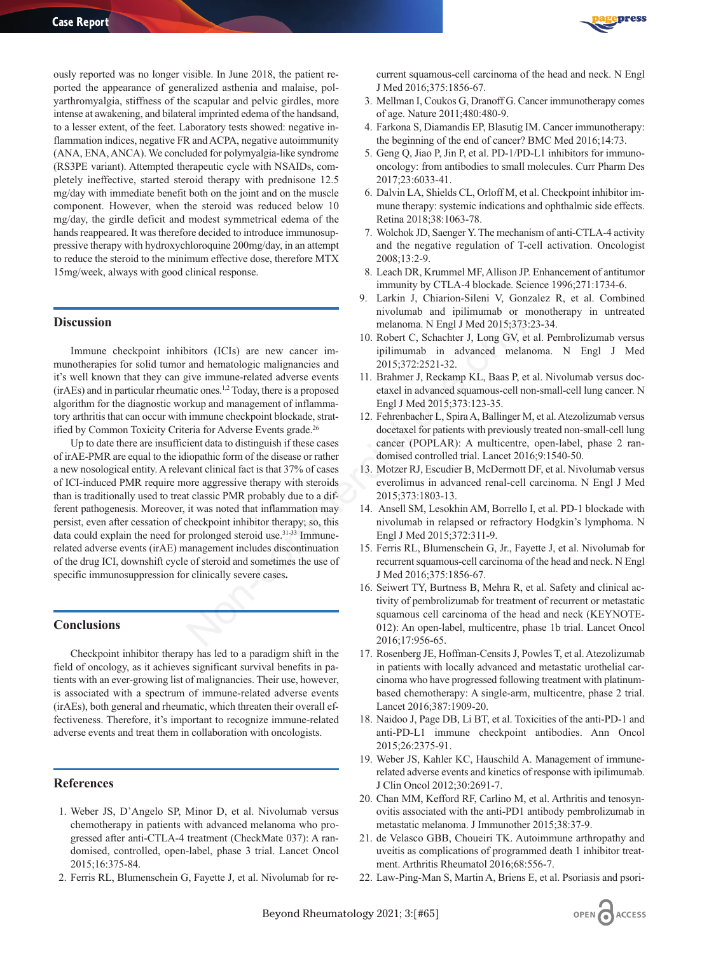ously reported was no longer visible. In June 2018, the patient reported the appearance of generalized asthenia and malaise, polyarthromyalgia, stiffness of the scapular and pelvic girdles, more intense at awakening, and bilateral imprinted edema of the handsand, to a lesser extent, of the feet. Laboratory tests showed: negative inflammation indices, negative FR and ACPA, negative autoimmunity (ANA, ENA, ANCA). We concluded for polymyalgia-like syndrome (RS3PE variant). Attempted therapeutic cycle with NSAIDs, completely ineffective, started steroid therapy with prednisone 12.5 mg/day with immediate benefit both on the joint and on the muscle component. However, when the steroid was reduced below 10 mg/day, the girdle deficit and modest symmetrical edema of the hands reappeared. It was therefore decided to introduce immunosuppressive therapy with hydroxychloroquine 200mg/day, in an attempt to reduce the steroid to the minimum effective dose, therefore MTX 15mg/week, always with good clinical response.

#### **Discussion**

Immune checkpoint inhibitors (ICIs) are new cancer immunotherapies for solid tumor and hematologic malignancies and it's well known that they can give immune-related adverse events (irAEs) and in particular rheumatic ones.1,2 Today, there is a proposed algorithm for the diagnostic workup and management of inflammatory arthritis that can occur with immune checkpoint blockade, stratified by Common Toxicity Criteria for Adverse Events grade.<sup>26</sup>

Up to date there are insufficient data to distinguish if these cases of irAE-PMR are equal to the idiopathic form of the disease or rather a new nosological entity. A relevant clinical fact is that 37% of cases of ICI-induced PMR require more aggressive therapy with steroids than is traditionally used to treat classic PMR probably due to a different pathogenesis. Moreover, it was noted that inflammation may persist, even after cessation of checkpoint inhibitor therapy; so, this data could explain the need for prolonged steroid use.<sup>31-33</sup> Immunerelated adverse events (irAE) management includes discontinuation of the drug ICI, downshift cycle of steroid and sometimes the use of specific immunosuppression for clinically severe cases**.** movilimate of muchain and pullimum<br>alanoma. N Engl J Med 2015;373:2<br>
into melanoma. N Engl J Med 2015;373:2<br>
into Robert C, Schachter J, Long GV, et and hematologic malignancies and<br>
intividue in advanced melanomas.<br>
intiv

#### **Conclusions**

Checkpoint inhibitor therapy has led to a paradigm shift in the field of oncology, as it achieves significant survival benefits in patients with an ever-growing list of malignancies. Their use, however, is associated with a spectrum of immune-related adverse events (irAEs), both general and rheumatic, which threaten their overall effectiveness. Therefore, it's important to recognize immune-related adverse events and treat them in collaboration with oncologists.

## **References**

- 1. Weber JS, D'Angelo SP, Minor D, et al. Nivolumab versus chemotherapy in patients with advanced melanoma who progressed after anti-CTLA-4 treatment (CheckMate 037): A randomised, controlled, open-label, phase 3 trial. Lancet Oncol 2015;16:375-84.
- 2. Ferris RL, Blumenschein G, Fayette J, et al. Nivolumab for re-



current squamous-cell carcinoma of the head and neck. N Engl J Med 2016;375:1856-67.

- 3. Mellman I, Coukos G, Dranoff G. Cancer immunotherapy comes of age. Nature 2011;480:480-9.
- 4. Farkona S, Diamandis EP, Blasutig IM. Cancer immunotherapy: the beginning of the end of cancer? BMC Med 2016;14:73.
- 5. Geng Q, Jiao P, Jin P, et al. PD-1/PD-L1 inhibitors for immunooncology: from antibodies to small molecules. Curr Pharm Des 2017;23:6033-41.
- 6. Dalvin LA, Shields CL, Orloff M, et al. Checkpoint inhibitor immune therapy: systemic indications and ophthalmic side effects. Retina 2018;38:1063-78.
- 7. Wolchok JD, Saenger Y. The mechanism of anti-CTLA-4 activity and the negative regulation of T-cell activation. Oncologist 2008;13:2-9.
- 8. Leach DR, Krummel MF, Allison JP. Enhancement of antitumor immunity by CTLA-4 blockade. Science 1996;271:1734-6.
- 9. Larkin J, Chiarion-Sileni V, Gonzalez R, et al. Combined nivolumab and ipilimumab or monotherapy in untreated melanoma. N Engl J Med 2015;373:23-34.
- 10. Robert C, Schachter J, Long GV, et al. Pembrolizumab versus ipilimumab in advanced melanoma. N Engl J Med 2015;372:2521-32.
- 11. Brahmer J, Reckamp KL, Baas P, et al. Nivolumab versus docetaxel in advanced squamous-cell non-small-cell lung cancer. N Engl J Med 2015;373:123-35.
- 12. Fehrenbacher L, Spira A, Ballinger M, et al. Atezolizumab versus docetaxel for patients with previously treated non-small-cell lung cancer (POPLAR): A multicentre, open-label, phase 2 randomised controlled trial. Lancet 2016;9:1540-50.
- 13. Motzer RJ, Escudier B, McDermott DF, et al. Nivolumab versus everolimus in advanced renal-cell carcinoma. N Engl J Med 2015;373:1803-13.
- 14. Ansell SM, Lesokhin AM, Borrello I, et al. PD-1 blockade with nivolumab in relapsed or refractory Hodgkin's lymphoma. N Engl J Med 2015;372:311-9.
- 15. Ferris RL, Blumenschein G, Jr., Fayette J, et al. Nivolumab for recurrent squamous-cell carcinoma of the head and neck. N Engl J Med 2016;375:1856-67.
- 16. Seiwert TY, Burtness B, Mehra R, et al. Safety and clinical activity of pembrolizumab for treatment of recurrent or metastatic squamous cell carcinoma of the head and neck (KEYNOTE-012): An open-label, multicentre, phase 1b trial. Lancet Oncol 2016;17:956-65.
- 17. Rosenberg JE, Hoffman-Censits J, Powles T, et al. Atezolizumab in patients with locally advanced and metastatic urothelial carcinoma who have progressed following treatment with platinumbased chemotherapy: A single-arm, multicentre, phase 2 trial. Lancet 2016;387:1909-20.
- 18. Naidoo J, Page DB, Li BT, et al. Toxicities of the anti-PD-1 and anti-PD-L1 immune checkpoint antibodies. Ann Oncol 2015;26:2375-91.
- 19. Weber JS, Kahler KC, Hauschild A. Management of immunerelated adverse events and kinetics of response with ipilimumab. J Clin Oncol 2012;30:2691-7.
- 20. Chan MM, Kefford RF, Carlino M, et al. Arthritis and tenosynovitis associated with the anti-PD1 antibody pembrolizumab in metastatic melanoma. J Immunother 2015;38:37-9.
- 21. de Velasco GBB, Choueiri TK. Autoimmune arthropathy and uveitis as complications of programmed death 1 inhibitor treatment. Arthritis Rheumatol 2016;68:556-7.
- 22. Law-Ping-Man S, Martin A, Briens E, et al. Psoriasis and psori-